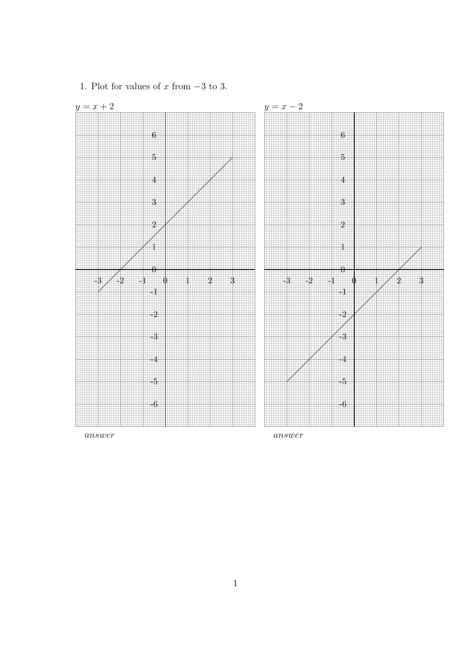

1. Plot for values of  $x$  from  $-3$  to 3.

answer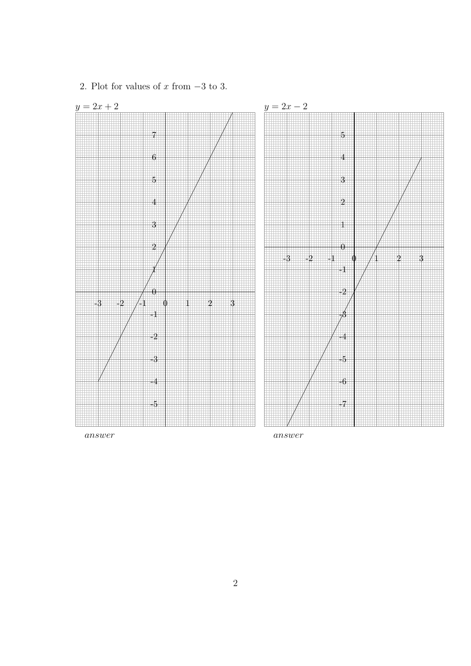

2. Plot for values of  $x$  from  $-3$  to 3.

answer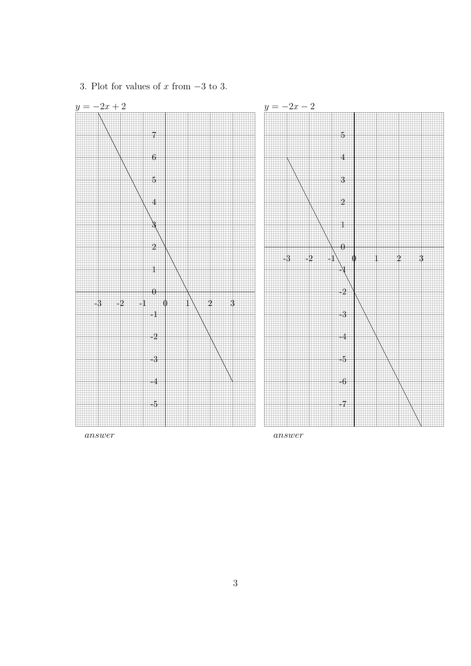

3. Plot for values of  $x$  from  $-3$  to 3.

answer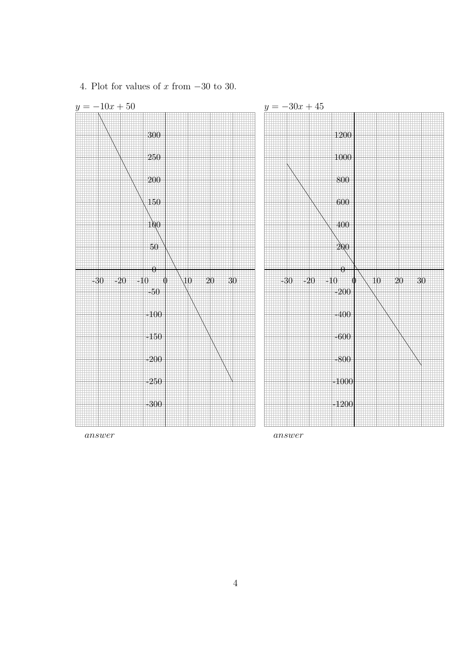

4. Plot for values of x from  $-30$  to 30.

answer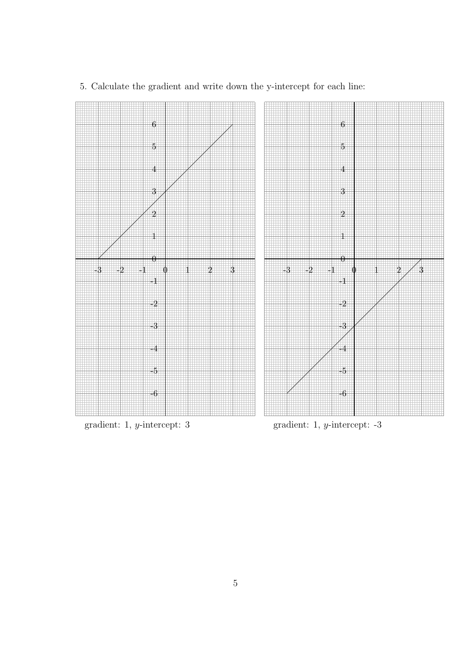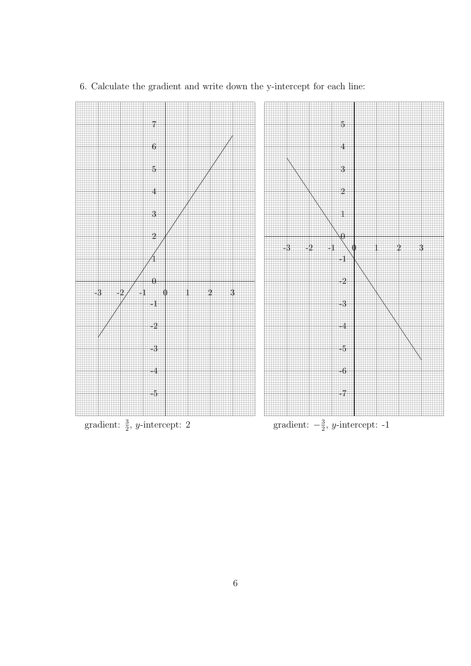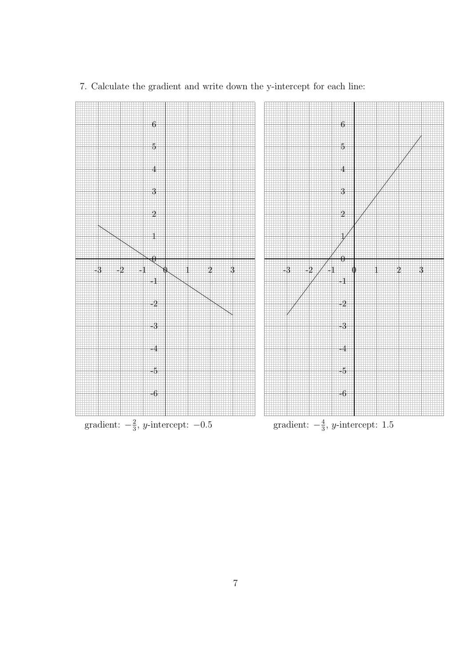